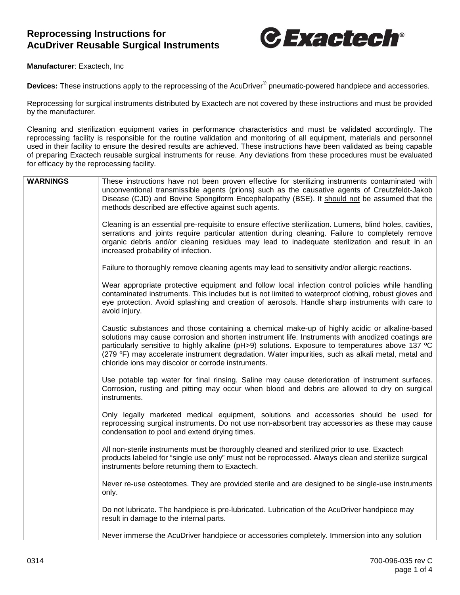## **Reprocessing Instructions for AcuDriver Reusable Surgical Instruments**



**Manufacturer**: Exactech, Inc

**Devices:** These instructions apply to the reprocessing of the AcuDriver® pneumatic-powered handpiece and accessories.

Reprocessing for surgical instruments distributed by Exactech are not covered by these instructions and must be provided by the manufacturer.

Cleaning and sterilization equipment varies in performance characteristics and must be validated accordingly. The reprocessing facility is responsible for the routine validation and monitoring of all equipment, materials and personnel used in their facility to ensure the desired results are achieved. These instructions have been validated as being capable of preparing Exactech reusable surgical instruments for reuse. Any deviations from these procedures must be evaluated for efficacy by the reprocessing facility.

| <b>WARNINGS</b> | These instructions have not been proven effective for sterilizing instruments contaminated with<br>unconventional transmissible agents (prions) such as the causative agents of Creutzfeldt-Jakob<br>Disease (CJD) and Bovine Spongiform Encephalopathy (BSE). It should not be assumed that the<br>methods described are effective against such agents.                                                                                                           |
|-----------------|--------------------------------------------------------------------------------------------------------------------------------------------------------------------------------------------------------------------------------------------------------------------------------------------------------------------------------------------------------------------------------------------------------------------------------------------------------------------|
|                 | Cleaning is an essential pre-requisite to ensure effective sterilization. Lumens, blind holes, cavities,<br>serrations and joints require particular attention during cleaning. Failure to completely remove<br>organic debris and/or cleaning residues may lead to inadequate sterilization and result in an<br>increased probability of infection.                                                                                                               |
|                 | Failure to thoroughly remove cleaning agents may lead to sensitivity and/or allergic reactions.                                                                                                                                                                                                                                                                                                                                                                    |
|                 | Wear appropriate protective equipment and follow local infection control policies while handling<br>contaminated instruments. This includes but is not limited to waterproof clothing, robust gloves and<br>eye protection. Avoid splashing and creation of aerosols. Handle sharp instruments with care to<br>avoid injury.                                                                                                                                       |
|                 | Caustic substances and those containing a chemical make-up of highly acidic or alkaline-based<br>solutions may cause corrosion and shorten instrument life. Instruments with anodized coatings are<br>particularly sensitive to highly alkaline (pH>9) solutions. Exposure to temperatures above 137 °C<br>(279 °F) may accelerate instrument degradation. Water impurities, such as alkali metal, metal and<br>chloride ions may discolor or corrode instruments. |
|                 | Use potable tap water for final rinsing. Saline may cause deterioration of instrument surfaces.<br>Corrosion, rusting and pitting may occur when blood and debris are allowed to dry on surgical<br>instruments.                                                                                                                                                                                                                                                   |
|                 | Only legally marketed medical equipment, solutions and accessories should be used for<br>reprocessing surgical instruments. Do not use non-absorbent tray accessories as these may cause<br>condensation to pool and extend drying times.                                                                                                                                                                                                                          |
|                 | All non-sterile instruments must be thoroughly cleaned and sterilized prior to use. Exactech<br>products labeled for "single use only" must not be reprocessed. Always clean and sterilize surgical<br>instruments before returning them to Exactech.                                                                                                                                                                                                              |
|                 | Never re-use osteotomes. They are provided sterile and are designed to be single-use instruments<br>only.                                                                                                                                                                                                                                                                                                                                                          |
|                 | Do not lubricate. The handpiece is pre-lubricated. Lubrication of the AcuDriver handpiece may<br>result in damage to the internal parts.                                                                                                                                                                                                                                                                                                                           |
|                 | Never immerse the AcuDriver handpiece or accessories completely. Immersion into any solution                                                                                                                                                                                                                                                                                                                                                                       |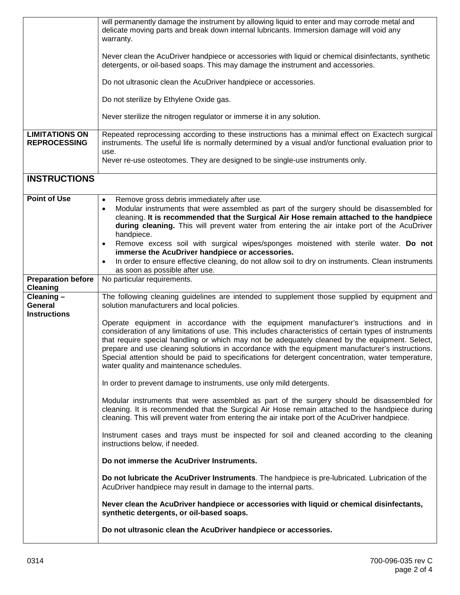|                                                | will permanently damage the instrument by allowing liquid to enter and may corrode metal and<br>delicate moving parts and break down internal lubricants. Immersion damage will void any<br>warranty.                                                                                                                                                                                                                                                                                                                                                   |  |  |  |  |
|------------------------------------------------|---------------------------------------------------------------------------------------------------------------------------------------------------------------------------------------------------------------------------------------------------------------------------------------------------------------------------------------------------------------------------------------------------------------------------------------------------------------------------------------------------------------------------------------------------------|--|--|--|--|
|                                                | Never clean the AcuDriver handpiece or accessories with liquid or chemical disinfectants, synthetic<br>detergents, or oil-based soaps. This may damage the instrument and accessories.                                                                                                                                                                                                                                                                                                                                                                  |  |  |  |  |
|                                                | Do not ultrasonic clean the AcuDriver handpiece or accessories.                                                                                                                                                                                                                                                                                                                                                                                                                                                                                         |  |  |  |  |
|                                                | Do not sterilize by Ethylene Oxide gas.                                                                                                                                                                                                                                                                                                                                                                                                                                                                                                                 |  |  |  |  |
|                                                | Never sterilize the nitrogen regulator or immerse it in any solution.                                                                                                                                                                                                                                                                                                                                                                                                                                                                                   |  |  |  |  |
| <b>LIMITATIONS ON</b><br><b>REPROCESSING</b>   | Repeated reprocessing according to these instructions has a minimal effect on Exactech surgical<br>instruments. The useful life is normally determined by a visual and/or functional evaluation prior to<br>use.<br>Never re-use osteotomes. They are designed to be single-use instruments only.                                                                                                                                                                                                                                                       |  |  |  |  |
| <b>INSTRUCTIONS</b>                            |                                                                                                                                                                                                                                                                                                                                                                                                                                                                                                                                                         |  |  |  |  |
|                                                |                                                                                                                                                                                                                                                                                                                                                                                                                                                                                                                                                         |  |  |  |  |
| <b>Point of Use</b>                            | Remove gross debris immediately after use.<br>$\bullet$<br>Modular instruments that were assembled as part of the surgery should be disassembled for<br>$\bullet$<br>cleaning. It is recommended that the Surgical Air Hose remain attached to the handpiece<br>during cleaning. This will prevent water from entering the air intake port of the AcuDriver<br>handpiece.                                                                                                                                                                               |  |  |  |  |
|                                                | Remove excess soil with surgical wipes/sponges moistened with sterile water. Do not<br>$\bullet$<br>immerse the AcuDriver handpiece or accessories.                                                                                                                                                                                                                                                                                                                                                                                                     |  |  |  |  |
|                                                | In order to ensure effective cleaning, do not allow soil to dry on instruments. Clean instruments<br>$\bullet$<br>as soon as possible after use.                                                                                                                                                                                                                                                                                                                                                                                                        |  |  |  |  |
| <b>Preparation before</b><br><b>Cleaning</b>   | No particular requirements.                                                                                                                                                                                                                                                                                                                                                                                                                                                                                                                             |  |  |  |  |
| Cleaning $-$<br>General<br><b>Instructions</b> | The following cleaning guidelines are intended to supplement those supplied by equipment and<br>solution manufacturers and local policies.                                                                                                                                                                                                                                                                                                                                                                                                              |  |  |  |  |
|                                                | Operate equipment in accordance with the equipment manufacturer's instructions and in<br>consideration of any limitations of use. This includes characteristics of certain types of instruments<br>that require special handling or which may not be adequately cleaned by the equipment. Select,<br>prepare and use cleaning solutions in accordance with the equipment manufacturer's instructions.<br>Special attention should be paid to specifications for detergent concentration, water temperature,<br>water quality and maintenance schedules. |  |  |  |  |
|                                                | In order to prevent damage to instruments, use only mild detergents.                                                                                                                                                                                                                                                                                                                                                                                                                                                                                    |  |  |  |  |
|                                                | Modular instruments that were assembled as part of the surgery should be disassembled for<br>cleaning. It is recommended that the Surgical Air Hose remain attached to the handpiece during<br>cleaning. This will prevent water from entering the air intake port of the AcuDriver handpiece.                                                                                                                                                                                                                                                          |  |  |  |  |
|                                                | Instrument cases and trays must be inspected for soil and cleaned according to the cleaning<br>instructions below, if needed.                                                                                                                                                                                                                                                                                                                                                                                                                           |  |  |  |  |
|                                                | Do not immerse the AcuDriver Instruments.                                                                                                                                                                                                                                                                                                                                                                                                                                                                                                               |  |  |  |  |
|                                                | Do not lubricate the AcuDriver Instruments. The handpiece is pre-lubricated. Lubrication of the<br>AcuDriver handpiece may result in damage to the internal parts.                                                                                                                                                                                                                                                                                                                                                                                      |  |  |  |  |
|                                                | Never clean the AcuDriver handpiece or accessories with liquid or chemical disinfectants,<br>synthetic detergents, or oil-based soaps.                                                                                                                                                                                                                                                                                                                                                                                                                  |  |  |  |  |
|                                                | Do not ultrasonic clean the AcuDriver handpiece or accessories.                                                                                                                                                                                                                                                                                                                                                                                                                                                                                         |  |  |  |  |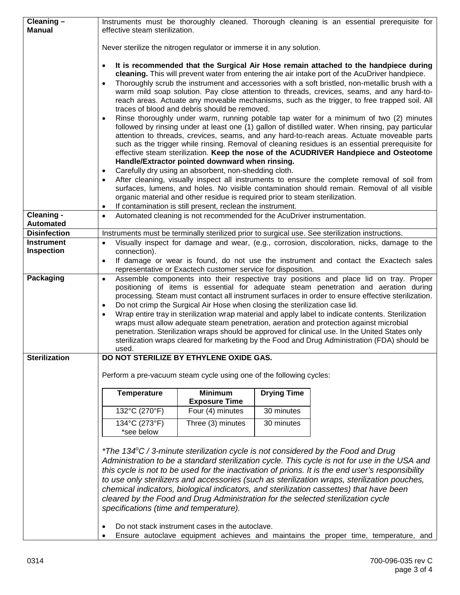| Cleaning -<br><b>Manual</b>             | effective steam sterilization.                                                                                                                                                                                                                                                                                                                                                                                                                                                                                                                                                                                                                                                                                                                                                                      |                                                                                                                                                                                                                                                                                                         |                    | Instruments must be thoroughly cleaned. Thorough cleaning is an essential prerequisite for                                                                                                                                                                                                                                                                                                                                                                                                                                                                                                                                                                                                                                                                                                                                                                                                                                                                                                                                                                                                                                                                                          |  |
|-----------------------------------------|-----------------------------------------------------------------------------------------------------------------------------------------------------------------------------------------------------------------------------------------------------------------------------------------------------------------------------------------------------------------------------------------------------------------------------------------------------------------------------------------------------------------------------------------------------------------------------------------------------------------------------------------------------------------------------------------------------------------------------------------------------------------------------------------------------|---------------------------------------------------------------------------------------------------------------------------------------------------------------------------------------------------------------------------------------------------------------------------------------------------------|--------------------|-------------------------------------------------------------------------------------------------------------------------------------------------------------------------------------------------------------------------------------------------------------------------------------------------------------------------------------------------------------------------------------------------------------------------------------------------------------------------------------------------------------------------------------------------------------------------------------------------------------------------------------------------------------------------------------------------------------------------------------------------------------------------------------------------------------------------------------------------------------------------------------------------------------------------------------------------------------------------------------------------------------------------------------------------------------------------------------------------------------------------------------------------------------------------------------|--|
|                                         | Never sterilize the nitrogen regulator or immerse it in any solution.                                                                                                                                                                                                                                                                                                                                                                                                                                                                                                                                                                                                                                                                                                                               |                                                                                                                                                                                                                                                                                                         |                    |                                                                                                                                                                                                                                                                                                                                                                                                                                                                                                                                                                                                                                                                                                                                                                                                                                                                                                                                                                                                                                                                                                                                                                                     |  |
|                                         | $\bullet$                                                                                                                                                                                                                                                                                                                                                                                                                                                                                                                                                                                                                                                                                                                                                                                           | traces of blood and debris should be removed.<br>Handle/Extractor pointed downward when rinsing.<br>Carefully dry using an absorbent, non-shedding cloth.<br>organic material and other residue is required prior to steam sterilization.<br>If contamination is still present, reclean the instrument. |                    | It is recommended that the Surgical Air Hose remain attached to the handpiece during<br>cleaning. This will prevent water from entering the air intake port of the AcuDriver handpiece.<br>Thoroughly scrub the instrument and accessories with a soft bristled, non-metallic brush with a<br>warm mild soap solution. Pay close attention to threads, crevices, seams, and any hard-to-<br>reach areas. Actuate any moveable mechanisms, such as the trigger, to free trapped soil. All<br>Rinse thoroughly under warm, running potable tap water for a minimum of two (2) minutes<br>followed by rinsing under at least one (1) gallon of distilled water. When rinsing, pay particular<br>attention to threads, crevices, seams, and any hard-to-reach areas. Actuate moveable parts<br>such as the trigger while rinsing. Removal of cleaning residues is an essential prerequisite for<br>effective steam sterilization. Keep the nose of the ACUDRIVER Handpiece and Osteotome<br>After cleaning, visually inspect all instruments to ensure the complete removal of soil from<br>surfaces, lumens, and holes. No visible contamination should remain. Removal of all visible |  |
| Cleaning -                              | ٠<br>$\bullet$                                                                                                                                                                                                                                                                                                                                                                                                                                                                                                                                                                                                                                                                                                                                                                                      | Automated cleaning is not recommended for the AcuDriver instrumentation.                                                                                                                                                                                                                                |                    |                                                                                                                                                                                                                                                                                                                                                                                                                                                                                                                                                                                                                                                                                                                                                                                                                                                                                                                                                                                                                                                                                                                                                                                     |  |
| <b>Automated</b><br><b>Disinfection</b> |                                                                                                                                                                                                                                                                                                                                                                                                                                                                                                                                                                                                                                                                                                                                                                                                     |                                                                                                                                                                                                                                                                                                         |                    |                                                                                                                                                                                                                                                                                                                                                                                                                                                                                                                                                                                                                                                                                                                                                                                                                                                                                                                                                                                                                                                                                                                                                                                     |  |
| <b>Instrument</b>                       | Instruments must be terminally sterilized prior to surgical use. See sterilization instructions.<br>Visually inspect for damage and wear, (e.g., corrosion, discoloration, nicks, damage to the<br>$\bullet$                                                                                                                                                                                                                                                                                                                                                                                                                                                                                                                                                                                        |                                                                                                                                                                                                                                                                                                         |                    |                                                                                                                                                                                                                                                                                                                                                                                                                                                                                                                                                                                                                                                                                                                                                                                                                                                                                                                                                                                                                                                                                                                                                                                     |  |
| Inspection                              | connection).<br>If damage or wear is found, do not use the instrument and contact the Exactech sales<br>$\bullet$<br>representative or Exactech customer service for disposition.                                                                                                                                                                                                                                                                                                                                                                                                                                                                                                                                                                                                                   |                                                                                                                                                                                                                                                                                                         |                    |                                                                                                                                                                                                                                                                                                                                                                                                                                                                                                                                                                                                                                                                                                                                                                                                                                                                                                                                                                                                                                                                                                                                                                                     |  |
| Packaging                               | Assemble components into their respective tray positions and place lid on tray. Proper<br>$\bullet$<br>positioning of items is essential for adequate steam penetration and aeration during<br>processing. Steam must contact all instrument surfaces in order to ensure effective sterilization.<br>Do not crimp the Surgical Air Hose when closing the sterilization case lid.<br>٠<br>Wrap entire tray in sterilization wrap material and apply label to indicate contents. Sterilization<br>wraps must allow adequate steam penetration, aeration and protection against microbial<br>penetration. Sterilization wraps should be approved for clinical use. In the United States only<br>sterilization wraps cleared for marketing by the Food and Drug Administration (FDA) should be<br>used. |                                                                                                                                                                                                                                                                                                         |                    |                                                                                                                                                                                                                                                                                                                                                                                                                                                                                                                                                                                                                                                                                                                                                                                                                                                                                                                                                                                                                                                                                                                                                                                     |  |
| <b>Sterilization</b>                    |                                                                                                                                                                                                                                                                                                                                                                                                                                                                                                                                                                                                                                                                                                                                                                                                     | DO NOT STERILIZE BY ETHYLENE OXIDE GAS.                                                                                                                                                                                                                                                                 |                    |                                                                                                                                                                                                                                                                                                                                                                                                                                                                                                                                                                                                                                                                                                                                                                                                                                                                                                                                                                                                                                                                                                                                                                                     |  |
|                                         | Perform a pre-vacuum steam cycle using one of the following cycles:                                                                                                                                                                                                                                                                                                                                                                                                                                                                                                                                                                                                                                                                                                                                 |                                                                                                                                                                                                                                                                                                         |                    |                                                                                                                                                                                                                                                                                                                                                                                                                                                                                                                                                                                                                                                                                                                                                                                                                                                                                                                                                                                                                                                                                                                                                                                     |  |
|                                         | <b>Temperature</b>                                                                                                                                                                                                                                                                                                                                                                                                                                                                                                                                                                                                                                                                                                                                                                                  | <b>Minimum</b><br><b>Exposure Time</b>                                                                                                                                                                                                                                                                  | <b>Drying Time</b> |                                                                                                                                                                                                                                                                                                                                                                                                                                                                                                                                                                                                                                                                                                                                                                                                                                                                                                                                                                                                                                                                                                                                                                                     |  |
|                                         | 132°C (270°F)                                                                                                                                                                                                                                                                                                                                                                                                                                                                                                                                                                                                                                                                                                                                                                                       | Four (4) minutes                                                                                                                                                                                                                                                                                        | 30 minutes         |                                                                                                                                                                                                                                                                                                                                                                                                                                                                                                                                                                                                                                                                                                                                                                                                                                                                                                                                                                                                                                                                                                                                                                                     |  |
|                                         | 134°C (273°F)<br>*see below                                                                                                                                                                                                                                                                                                                                                                                                                                                                                                                                                                                                                                                                                                                                                                         | Three (3) minutes                                                                                                                                                                                                                                                                                       | 30 minutes         |                                                                                                                                                                                                                                                                                                                                                                                                                                                                                                                                                                                                                                                                                                                                                                                                                                                                                                                                                                                                                                                                                                                                                                                     |  |
|                                         | specifications (time and temperature).                                                                                                                                                                                                                                                                                                                                                                                                                                                                                                                                                                                                                                                                                                                                                              | Do not stack instrument cases in the autoclave.                                                                                                                                                                                                                                                         |                    | *The 134 $\degree$ C / 3-minute sterilization cycle is not considered by the Food and Drug<br>Administration to be a standard sterilization cycle. This cycle is not for use in the USA and<br>this cycle is not to be used for the inactivation of prions. It is the end user's responsibility<br>to use only sterilizers and accessories (such as sterilization wraps, sterilization pouches,<br>chemical indicators, biological indicators, and sterilization cassettes) that have been<br>cleared by the Food and Drug Administration for the selected sterilization cycle<br>Ensure autoclave equipment achieves and maintains the proper time, temperature, and                                                                                                                                                                                                                                                                                                                                                                                                                                                                                                               |  |